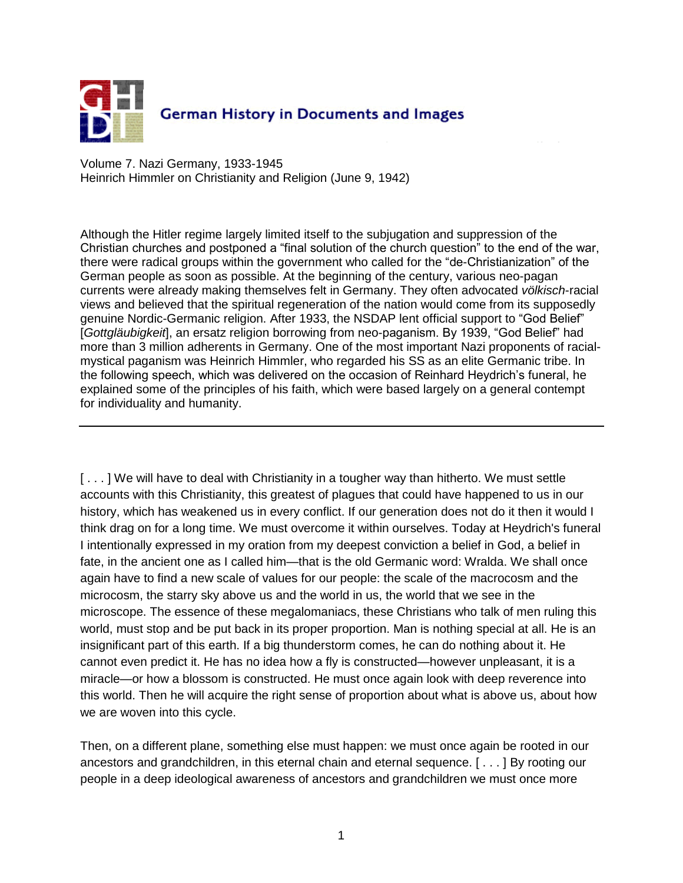

Volume 7. Nazi Germany, 1933-1945 Heinrich Himmler on Christianity and Religion (June 9, 1942)

Although the Hitler regime largely limited itself to the subjugation and suppression of the Christian churches and postponed a "final solution of the church question" to the end of the war, there were radical groups within the government who called for the "de-Christianization" of the German people as soon as possible. At the beginning of the century, various neo-pagan currents were already making themselves felt in Germany. They often advocated *völkisch*-racial views and believed that the spiritual regeneration of the nation would come from its supposedly genuine Nordic-Germanic religion. After 1933, the NSDAP lent official support to "God Belief" [*Gottgläubigkeit*], an ersatz religion borrowing from neo-paganism. By 1939, "God Belief" had more than 3 million adherents in Germany. One of the most important Nazi proponents of racialmystical paganism was Heinrich Himmler, who regarded his SS as an elite Germanic tribe. In the following speech, which was delivered on the occasion of Reinhard Heydrich's funeral, he explained some of the principles of his faith, which were based largely on a general contempt for individuality and humanity.

[...] We will have to deal with Christianity in a tougher way than hitherto. We must settle accounts with this Christianity, this greatest of plagues that could have happened to us in our history, which has weakened us in every conflict. If our generation does not do it then it would I think drag on for a long time. We must overcome it within ourselves. Today at Heydrich's funeral I intentionally expressed in my oration from my deepest conviction a belief in God, a belief in fate, in the ancient one as I called him—that is the old Germanic word: Wralda. We shall once again have to find a new scale of values for our people: the scale of the macrocosm and the microcosm, the starry sky above us and the world in us, the world that we see in the microscope. The essence of these megalomaniacs, these Christians who talk of men ruling this world, must stop and be put back in its proper proportion. Man is nothing special at all. He is an insignificant part of this earth. If a big thunderstorm comes, he can do nothing about it. He cannot even predict it. He has no idea how a fly is constructed—however unpleasant, it is a miracle—or how a blossom is constructed. He must once again look with deep reverence into this world. Then he will acquire the right sense of proportion about what is above us, about how we are woven into this cycle.

Then, on a different plane, something else must happen: we must once again be rooted in our ancestors and grandchildren, in this eternal chain and eternal sequence. [ . . . ] By rooting our people in a deep ideological awareness of ancestors and grandchildren we must once more